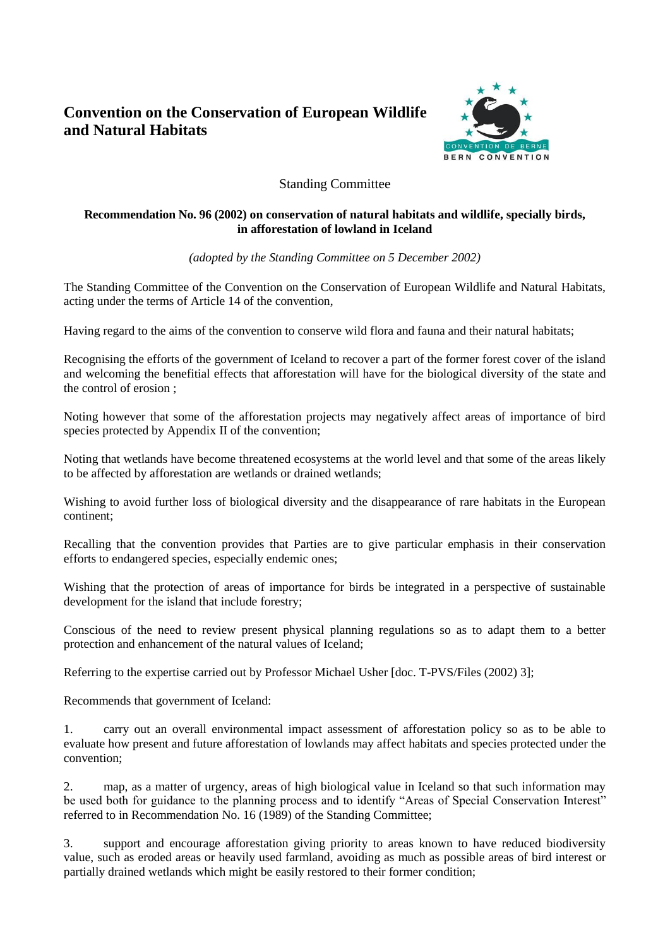## **Convention on the Conservation of European Wildlife and Natural Habitats**



## Standing Committee

## **Recommendation No. 96 (2002) on conservation of natural habitats and wildlife, specially birds, in afforestation of lowland in Iceland**

*(adopted by the Standing Committee on 5 December 2002)*

The Standing Committee of the Convention on the Conservation of European Wildlife and Natural Habitats, acting under the terms of Article 14 of the convention,

Having regard to the aims of the convention to conserve wild flora and fauna and their natural habitats;

Recognising the efforts of the government of Iceland to recover a part of the former forest cover of the island and welcoming the benefitial effects that afforestation will have for the biological diversity of the state and the control of erosion ;

Noting however that some of the afforestation projects may negatively affect areas of importance of bird species protected by Appendix II of the convention;

Noting that wetlands have become threatened ecosystems at the world level and that some of the areas likely to be affected by afforestation are wetlands or drained wetlands;

Wishing to avoid further loss of biological diversity and the disappearance of rare habitats in the European continent;

Recalling that the convention provides that Parties are to give particular emphasis in their conservation efforts to endangered species, especially endemic ones;

Wishing that the protection of areas of importance for birds be integrated in a perspective of sustainable development for the island that include forestry;

Conscious of the need to review present physical planning regulations so as to adapt them to a better protection and enhancement of the natural values of Iceland;

Referring to the expertise carried out by Professor Michael Usher [doc. T-PVS/Files (2002) 3];

Recommends that government of Iceland:

1. carry out an overall environmental impact assessment of afforestation policy so as to be able to evaluate how present and future afforestation of lowlands may affect habitats and species protected under the convention;

2. map, as a matter of urgency, areas of high biological value in Iceland so that such information may be used both for guidance to the planning process and to identify "Areas of Special Conservation Interest" referred to in Recommendation No. 16 (1989) of the Standing Committee;

3. support and encourage afforestation giving priority to areas known to have reduced biodiversity value, such as eroded areas or heavily used farmland, avoiding as much as possible areas of bird interest or partially drained wetlands which might be easily restored to their former condition;